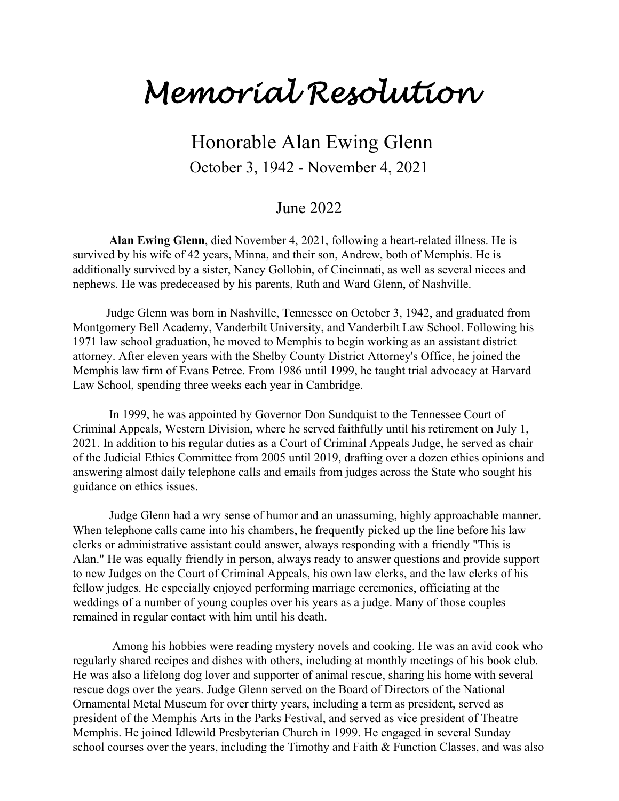## *Memorial Resolution*

## Honorable Alan Ewing Glenn October 3, 1942 - November 4, 2021

## June 2022

**Alan Ewing Glenn**, died November 4, 2021, following a heart-related illness. He is survived by his wife of 42 years, Minna, and their son, Andrew, both of Memphis. He is additionally survived by a sister, Nancy Gollobin, of Cincinnati, as well as several nieces and nephews. He was predeceased by his parents, Ruth and Ward Glenn, of Nashville.

 Judge Glenn was born in Nashville, Tennessee on October 3, 1942, and graduated from Montgomery Bell Academy, Vanderbilt University, and Vanderbilt Law School. Following his 1971 law school graduation, he moved to Memphis to begin working as an assistant district attorney. After eleven years with the Shelby County District Attorney's Office, he joined the Memphis law firm of Evans Petree. From 1986 until 1999, he taught trial advocacy at Harvard Law School, spending three weeks each year in Cambridge.

 In 1999, he was appointed by Governor Don Sundquist to the Tennessee Court of Criminal Appeals, Western Division, where he served faithfully until his retirement on July 1, 2021. In addition to his regular duties as a Court of Criminal Appeals Judge, he served as chair of the Judicial Ethics Committee from 2005 until 2019, drafting over a dozen ethics opinions and answering almost daily telephone calls and emails from judges across the State who sought his guidance on ethics issues.

 Judge Glenn had a wry sense of humor and an unassuming, highly approachable manner. When telephone calls came into his chambers, he frequently picked up the line before his law clerks or administrative assistant could answer, always responding with a friendly "This is Alan." He was equally friendly in person, always ready to answer questions and provide support to new Judges on the Court of Criminal Appeals, his own law clerks, and the law clerks of his fellow judges. He especially enjoyed performing marriage ceremonies, officiating at the weddings of a number of young couples over his years as a judge. Many of those couples remained in regular contact with him until his death.

 Among his hobbies were reading mystery novels and cooking. He was an avid cook who regularly shared recipes and dishes with others, including at monthly meetings of his book club. He was also a lifelong dog lover and supporter of animal rescue, sharing his home with several rescue dogs over the years. Judge Glenn served on the Board of Directors of the National Ornamental Metal Museum for over thirty years, including a term as president, served as president of the Memphis Arts in the Parks Festival, and served as vice president of Theatre Memphis. He joined Idlewild Presbyterian Church in 1999. He engaged in several Sunday school courses over the years, including the Timothy and Faith & Function Classes, and was also